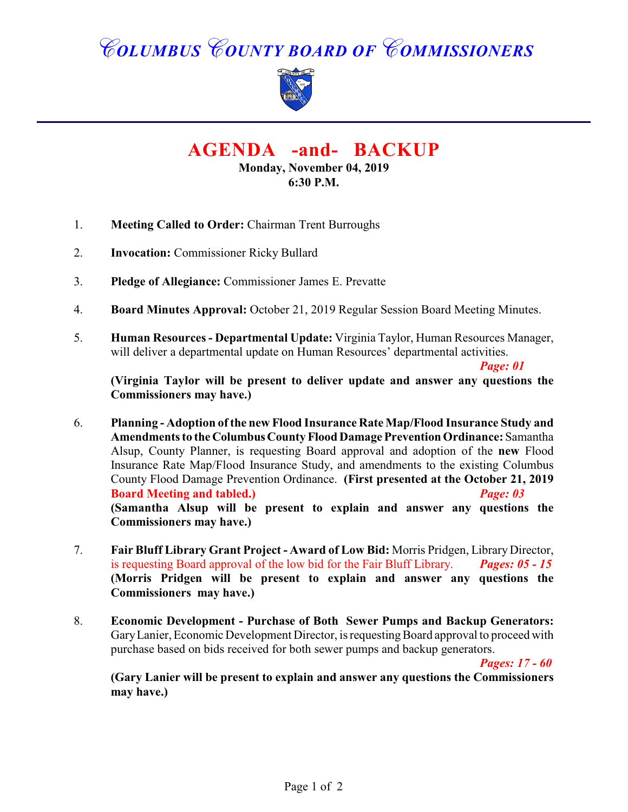## *COLUMBUS COUNTY BOARD OF COMMISSIONERS*



## **AGENDA -and- BACKUP**

**Monday, November 04, 2019 6:30 P.M.**

- 1. **Meeting Called to Order:** Chairman Trent Burroughs
- 2. **Invocation:** Commissioner Ricky Bullard
- 3. **Pledge of Allegiance:** Commissioner James E. Prevatte
- 4. **Board Minutes Approval:** October 21, 2019 Regular Session Board Meeting Minutes.
- 5. **Human Resources Departmental Update:** Virginia Taylor, Human Resources Manager, will deliver a departmental update on Human Resources' departmental activities.

*Page: 01*

**(Virginia Taylor will be present to deliver update and answer any questions the Commissioners may have.)**

- 6. **Planning Adoption of the new Flood Insurance Rate Map/Flood Insurance Study and Amendments to the Columbus County Flood Damage Prevention Ordinance:** Samantha Alsup, County Planner, is requesting Board approval and adoption of the **new** Flood Insurance Rate Map/Flood Insurance Study, and amendments to the existing Columbus County Flood Damage Prevention Ordinance. **(First presented at the October 21, 2019 Board Meeting and tabled.)** *Page: 03*  **(Samantha Alsup will be present to explain and answer any questions the Commissioners may have.)**
- 7. **Fair Bluff Library Grant Project Award of Low Bid:** Morris Pridgen, Library Director, is requesting Board approval of the low bid for the Fair Bluff Library. *Pages: 05 - 15* **(Morris Pridgen will be present to explain and answer any questions the Commissioners may have.)**
- 8. **Economic Development Purchase of Both Sewer Pumps and Backup Generators:** Gary Lanier, Economic Development Director, is requesting Board approval to proceed with purchase based on bids received for both sewer pumps and backup generators.

*Pages: 17 - 60*

**(Gary Lanier will be present to explain and answer any questions the Commissioners may have.)**